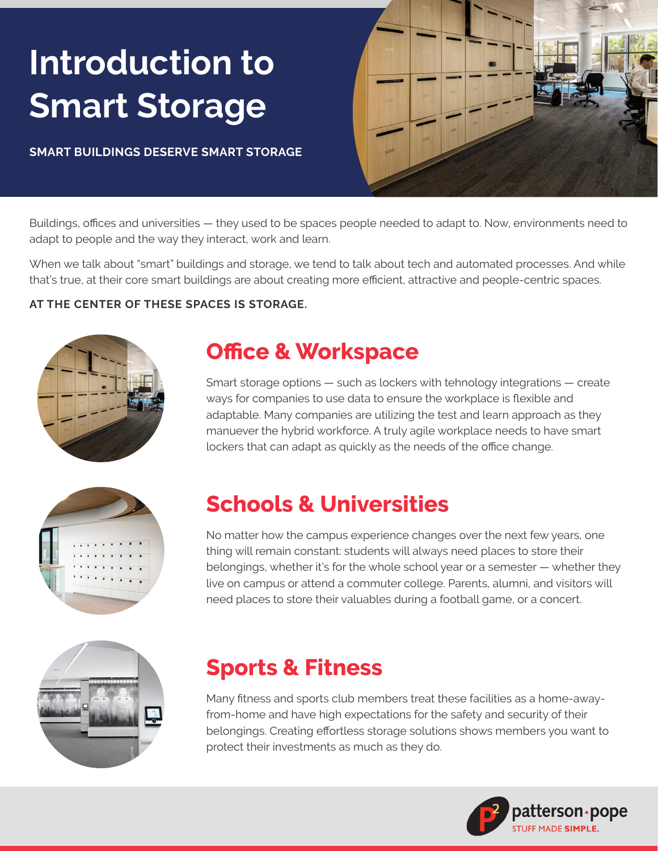# **Introduction to Smart Storage**

**SMART BUILDINGS DESERVE SMART STORAGE**



Buildings, offices and universities — they used to be spaces people needed to adapt to. Now, environments need to adapt to people and the way they interact, work and learn.

When we talk about "smart" buildings and storage, we tend to talk about tech and automated processes. And while that's true, at their core smart buildings are about creating more efficient, attractive and people-centric spaces.

### **AT THE CENTER OF THESE SPACES IS STORAGE.**



### **Office & Workspace**

Smart storage options — such as lockers with tehnology integrations — create ways for companies to use data to ensure the workplace is flexible and adaptable. Many companies are utilizing the test and learn approach as they manuever the hybrid workforce. A truly agile workplace needs to have smart lockers that can adapt as quickly as the needs of the office change.



# **Schools & Universities**

No matter how the campus experience changes over the next few years, one thing will remain constant: students will always need places to store their belongings, whether it's for the whole school year or a semester — whether they live on campus or attend a commuter college. Parents, alumni, and visitors will need places to store their valuables during a football game, or a concert.



# **Sports & Fitness**

Many fitness and sports club members treat these facilities as a home-awayfrom-home and have high expectations for the safety and security of their belongings. Creating effortless storage solutions shows members you want to protect their investments as much as they do.